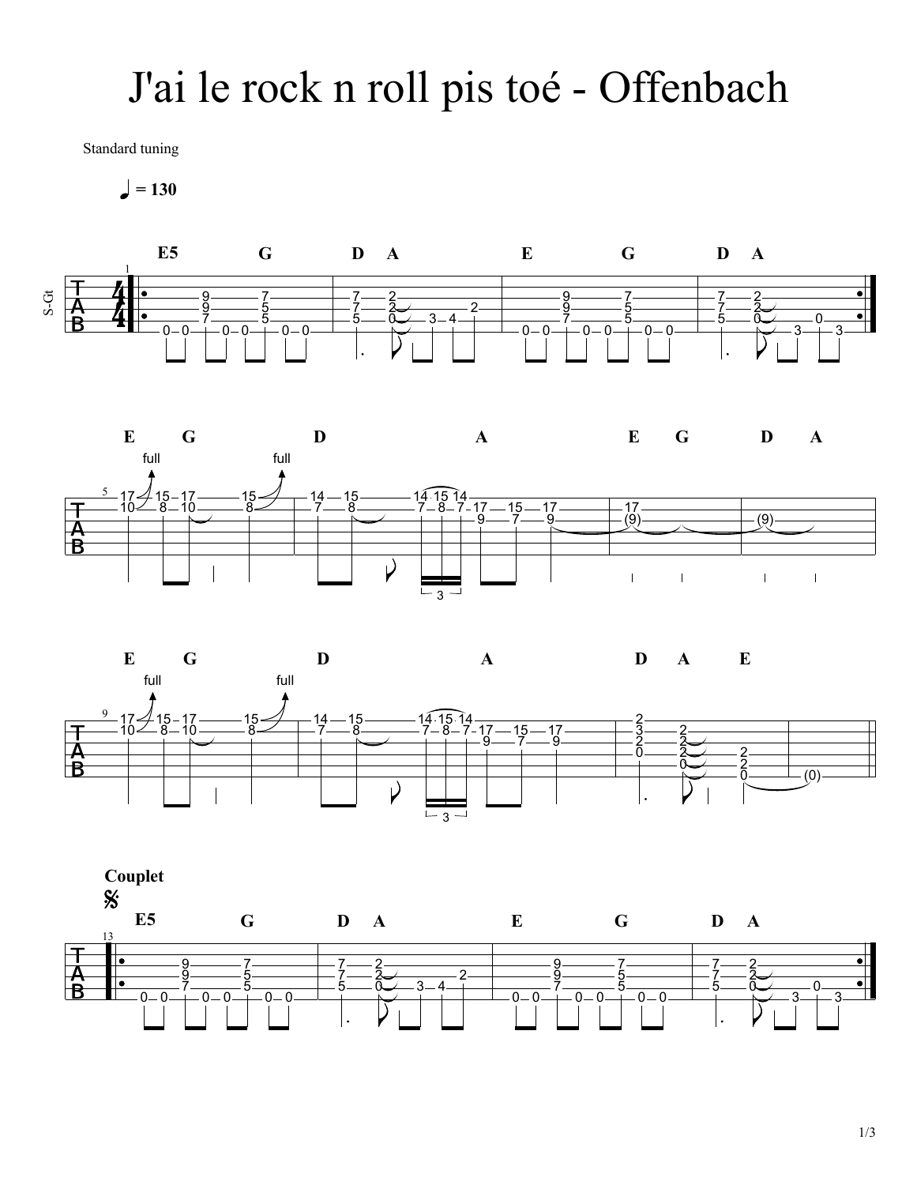## J'ai le rock n roll pis toé - Offenbach

Standard tuning

 $= 130$ 







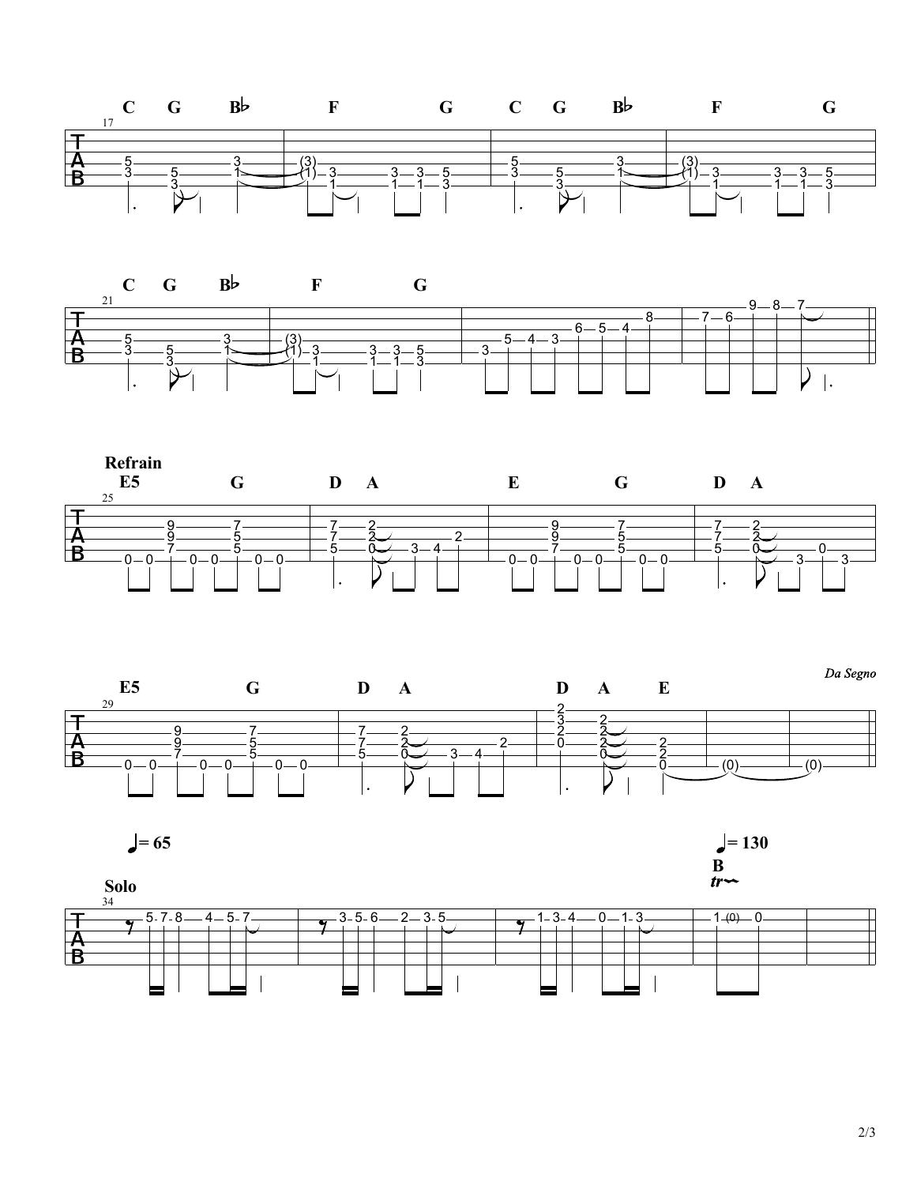